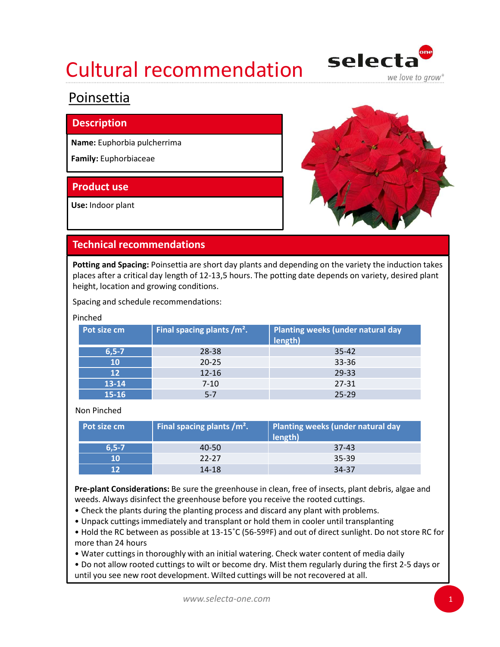

### Poinsettia

#### Description

Name: Euphorbia pulcherrima

Family: Euphorbiaceae

### Product use

Use: Indoor plant



### Technical recommendations

#### Pinched

| sesti i puoli                           |                                                                                                                                                                       |                                                                                                                                                                                                                |  |
|-----------------------------------------|-----------------------------------------------------------------------------------------------------------------------------------------------------------------------|----------------------------------------------------------------------------------------------------------------------------------------------------------------------------------------------------------------|--|
| lame: Euphorbia pulcherrima             |                                                                                                                                                                       |                                                                                                                                                                                                                |  |
| amily: Euphorbiaceae                    |                                                                                                                                                                       |                                                                                                                                                                                                                |  |
|                                         |                                                                                                                                                                       |                                                                                                                                                                                                                |  |
| roduct use                              |                                                                                                                                                                       |                                                                                                                                                                                                                |  |
| se: Indoor plant                        |                                                                                                                                                                       |                                                                                                                                                                                                                |  |
| <b>Fechnical recommendations</b>        |                                                                                                                                                                       |                                                                                                                                                                                                                |  |
| eight, location and growing conditions. | pacing and schedule recommendations:                                                                                                                                  | otting and Spacing: Poinsettia are short day plants and depending on the variety the induction takes<br>laces after a critical day length of 12-13,5 hours. The potting date depends on variety, desired plant |  |
| inched                                  |                                                                                                                                                                       |                                                                                                                                                                                                                |  |
| Pot size cm                             | Final spacing plants /m <sup>2</sup> .                                                                                                                                | Planting weeks (under natural day<br>length)                                                                                                                                                                   |  |
| $6, 5 - 7$                              | 28-38                                                                                                                                                                 | 35-42                                                                                                                                                                                                          |  |
| 10                                      | $20 - 25$                                                                                                                                                             | 33-36                                                                                                                                                                                                          |  |
| 12                                      | $12 - 16$                                                                                                                                                             | 29-33                                                                                                                                                                                                          |  |
| 13-14                                   | $7 - 10$                                                                                                                                                              | 27-31                                                                                                                                                                                                          |  |
| 15-16                                   | $5 - 7$                                                                                                                                                               | $25 - 29$                                                                                                                                                                                                      |  |
| Non Pinched                             |                                                                                                                                                                       |                                                                                                                                                                                                                |  |
| Pot size cm                             | Final spacing plants /m <sup>2</sup> .                                                                                                                                | Planting weeks (under natural day<br>length)                                                                                                                                                                   |  |
| $6, 5 - 7$                              | 40-50                                                                                                                                                                 | $37-43$                                                                                                                                                                                                        |  |
| 10                                      | $22 - 27$                                                                                                                                                             | 35-39                                                                                                                                                                                                          |  |
| 12                                      | $14 - 18$                                                                                                                                                             | 34-37                                                                                                                                                                                                          |  |
|                                         | weeds. Always disinfect the greenhouse before you receive the rooted cuttings.<br>• Check the plants during the planting process and discard any plant with problems. | Pre-plant Considerations: Be sure the greenhouse in clean, free of insects, plant debris, algae and<br>. Unpack cuttings immediately and transplant or hold them in cooler until transplanting                 |  |

#### Non Pinched

| Pot size cm | Final spacing plants $/m2$ . | Planting weeks (under natural day<br>length) |
|-------------|------------------------------|----------------------------------------------|
| $6.5 - 7$   | 40-50                        | $37-43$                                      |
| 10          | $22-27$                      | $35 - 39$                                    |
| 12          | 14-18                        | 34-37                                        |

• Hold the RC between as possible at 13-15˚C (56-59ºF) and out of direct sunlight. Do not store RC for more than 24 hours

• Water cuttings in thoroughly with an initial watering. Check water content of media daily

• Do not allow rooted cuttings to wilt or become dry. Mist them regularly during the first 2-5 days or until you see new root development. Wilted cuttings will be not recovered at all.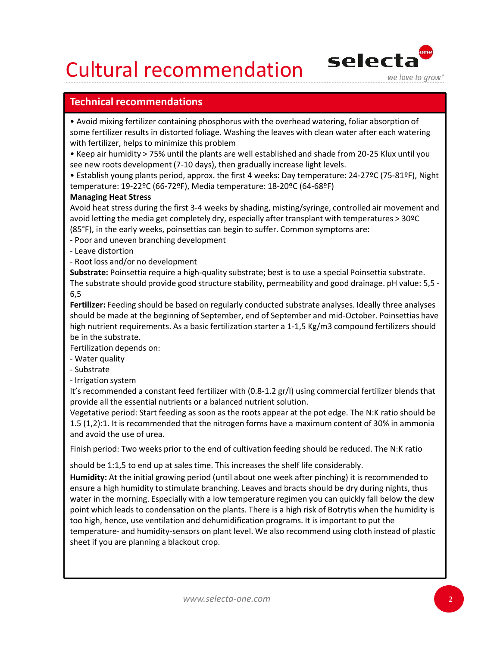

### Technical recommendations

• Avoid mixing fertilizer containing phosphorus with the overhead watering, foliar absorption of some fertilizer results in distorted foliage. Washing the leaves with clean water after each watering with fertilizer, helps to minimize this problem

• Keep air humidity > 75% until the plants are well established and shade from 20-25 Klux until you see new roots development (7-10 days), then gradually increase light levels.

• Establish young plants period, approx. the first 4 weeks: Day temperature: 24-27ºC (75-81ºF), Night temperature: 19-22ºC (66-72ºF), Media temperature: 18-20ºC (64-68ºF)

#### Managing Heat Stress

Avoid heat stress during the first 3-4 weeks by shading, misting/syringe, controlled air movement and avoid letting the media get completely dry, especially after transplant with temperatures > 30ºC (85°F), in the early weeks, poinsettias can begin to suffer. Common symptoms are:

**Cultural recommentations**<br> **Technical recommendations**<br> **Technical recommendations**<br> **Some fertilizer results in distorted foliage**. Washing the leaves with clean w<br>
some fertilizer, helps to minimize this problem<br>
• Keep **Cultural recommendations**<br> **Cultural recommendations**<br> **Cultural recommendations**<br> **Culture:** results in distorted foliage. Washing the leaves with clean with fertilizer results in distorted foliage. Washing the leaves wi **CULTUANNIME COMMIMENT SET ANTIFICATION SET AND A COMMON CONDUCT THE SURFORM THE SOMET A CONDUCT THE SOMET THE SOMETHER IN A CHAPTENT SOME THE SURFORM ON THE SURFORM SHE ARE A WEED THE MONG SHE ARE A WEED THE SURFORM SHE A** Substrate: Poinsettia require a high-quality substrate; best is to use a special Poinsettia substrate. The substrate should provide good structure stability, permeability and good drainage. pH value: 5,5 - 6,5

Fertilizer: Feeding should be based on regularly conducted substrate analyses. Ideally three analyses should be made at the beginning of September, end of September and mid-October. Poinsettias have \* Notes the start of the methanic phoson with the overnea owaterng. Totara assocption or<br>some fertilizer results in distorted foliage. Washing the leaves with dean water after each watering<br>with fertilizer, helps to minimi be in the substrate. • Reep air numinty > 75% untit the piants are well established and shade the<br>see new roots development (7-10 days), then gradually increase light levels<br>• Establish young plants period, approx. the first 4 weeks: Day tempe See new roots aevelopment (1-10 days), then gradually increase light levels<br>
• Establish young plants period, approx. the first 4 weeks: Day temperature: 19-22ºC (66-72ºF), Media temperature: 18-20ºC (64-68ºF)<br>
Managing He • Estabilish young plants period, approx. the first 4 weeks: Day temperature<br>temperature: 19-22ºC (66-72ºF), Media temperature: 18-20ºC (64-68ºF)<br>Managing Heat Stress<br>Avoid heat stress during the first 3-4 weeks by shading

Fertilization depends on:

- 
- 

It's recommended a constant feed fertilizer with (0.8-1.2 gr/l) using commercial fertilizer blends that provide all the essential nutrients or a balanced nutrient solution.

Vegetative period: Start feeding as soon as the roots appear at the pot edge. The N:K ratio should be 1.5 (1,2):1. It is recommended that the nitrogen forms have a maximum content of 30% in ammonia and avoid the use of urea.

Finish period: Two weeks prior to the end of cultivation feeding should be reduced. The N:K ratio

should be 1:1,5 to end up at sales time. This increases the shelf life considerably.

Humidity: At the initial growing period (until about one week after pinching) it is recommended to ensure a high humidity to stimulate branching. Leaves and bracts should be dry during nights, thus water in the morning. Especially with a low temperature regimen you can quickly fall below the dew point which leads to condensation on the plants. There is a high risk of Botrytis when the humidity is too high, hence, use ventilation and dehumidification programs. It is important to put the mgn nutrient requires<br>the in the substrate.<br>Fertilization depends on:<br>- Water quality-<br>- Water quality-<br>- Substrate<br>- Video system<br>- Infigation system<br>- It's recommended a constant feed fertilizer with (0.8-1.2 gr/l) using sheet if you are planning a blackout crop.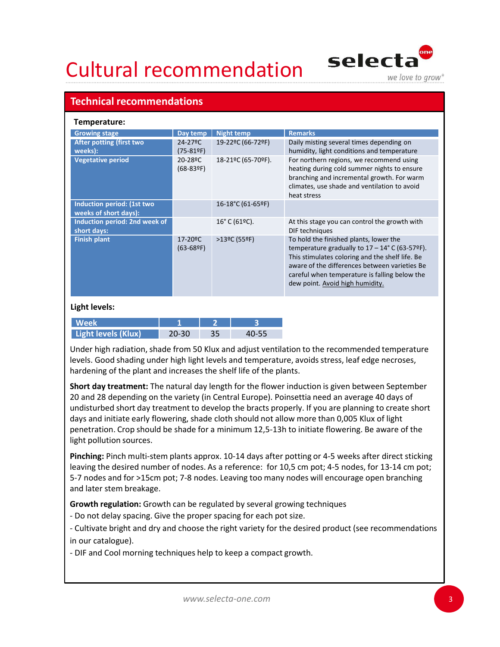

### Technical recommendations

| <b>Cultural recommendation</b>                                     |                                     |                                        | selecta<br>we love to grow <sup>®</sup>                                                                                                                                                                                                                                                                                                                                                                                                                                                                     |
|--------------------------------------------------------------------|-------------------------------------|----------------------------------------|-------------------------------------------------------------------------------------------------------------------------------------------------------------------------------------------------------------------------------------------------------------------------------------------------------------------------------------------------------------------------------------------------------------------------------------------------------------------------------------------------------------|
| <b>Technical recommendations</b>                                   |                                     |                                        |                                                                                                                                                                                                                                                                                                                                                                                                                                                                                                             |
| Temperature:                                                       |                                     |                                        |                                                                                                                                                                                                                                                                                                                                                                                                                                                                                                             |
| <b>Growing stage</b><br>After potting (first two<br>weeks):        | Day temp  <br>24-27°C<br>$(75-81°)$ | <b>Night temp</b><br>19-22ºC (66-72ºF) | <b>Remarks</b><br>Daily misting several times depending on<br>humidity, light conditions and temperature                                                                                                                                                                                                                                                                                                                                                                                                    |
| <b>Vegetative period</b>                                           | 20-28°C<br>$(68-839)$               | 18-21ºC (65-70ºF).                     | For northern regions, we recommend using<br>heating during cold summer nights to ensure<br>branching and incremental growth. For warm<br>climates, use shade and ventilation to avoid<br>heat stress                                                                                                                                                                                                                                                                                                        |
| Induction period: (1st two<br>weeks of short days):                |                                     | 16-18°C (61-65ºF)                      |                                                                                                                                                                                                                                                                                                                                                                                                                                                                                                             |
| Induction period: 2nd week of<br>short days:                       |                                     | 16° C (61ºC).                          | At this stage you can control the growth with<br>DIF techniques                                                                                                                                                                                                                                                                                                                                                                                                                                             |
| <b>Finish plant</b>                                                | 17-20°C<br>$(63-689)$               | >13°C (55°F)                           | To hold the finished plants, lower the<br>temperature gradually to $17 - 14^{\circ}$ C (63-57°F).<br>This stimulates coloring and the shelf life. Be<br>aware of the differences between varieties Be<br>careful when temperature is falling below the<br>dew point. Avoid high humidity.                                                                                                                                                                                                                   |
| <b>Light levels:</b>                                               |                                     |                                        |                                                                                                                                                                                                                                                                                                                                                                                                                                                                                                             |
| <b>Week</b><br>Light levels (Klux)                                 | $20 - 30$                           | 35<br>40-55                            |                                                                                                                                                                                                                                                                                                                                                                                                                                                                                                             |
| hardening of the plant and increases the shelf life of the plants. |                                     |                                        | Under high radiation, shade from 50 Klux and adjust ventilation to the recommended temperature<br>levels. Good shading under high light levels and temperature, avoids stress, leaf edge necroses,                                                                                                                                                                                                                                                                                                          |
| light pollution sources.                                           |                                     |                                        | Short day treatment: The natural day length for the flower induction is given between September<br>20 and 28 depending on the variety (in Central Europe). Poinsettia need an average 40 days of<br>undisturbed short day treatment to develop the bracts properly. If you are planning to create short<br>days and initiate early flowering, shade cloth should not allow more than 0,005 Klux of light<br>penetration. Crop should be shade for a minimum 12,5-13h to initiate flowering. Be aware of the |
|                                                                    |                                     |                                        | Pinching: Pinch multi-stem plants approx. 10-14 days after potting or 4-5 weeks after direct sticking<br>leaving the desired number of nodes. As a reference: for 10.5 cm pot: 4-5 nodes, for 13-14 cm pot:                                                                                                                                                                                                                                                                                                 |

| <b>Week</b>         |       |    |  |
|---------------------|-------|----|--|
| Light levels (Klux) | 20-30 | コロ |  |

Short day treatment: The natural day length for the flower induction is given between September 20 and 28 depending on the variety (in Central Europe). Poinsettia need an average 40 days of days and initiate early flowering, shade cloth should not allow more than 0,005 Klux of light penetration. Crop should be shade for a minimum 12,5-13h to initiate flowering. Be aware of the light pollution sources. Finder is a space of the proper spacing to the product of the production of the product of the product space and temperature, avoids stress, leaf elevels. Good shading under high light levels and temperature, avoids stress view.<br>
Urght levels (Klux) 20-30 35 40-55<br>
Under high radiation, shade from 50 Klux and adjust ventilation to the recommended temperature<br>
levels. Good shading under high ilight levels and temperature, avoids stress, leaf Under high radiation, shade from 50 Klux and adjust ventilation to the recomplection and and through light levels and temperature, avoids stress hardening of the plant and increases the shelf life of the plants.<br> **Short da** 

Pinching: Pinch multi-stem plants approx. 10-14 days after potting or 4-5 weeks after direct sticking leaving the desired number of nodes. As a reference: for 10,5 cm pot; 4-5 nodes, for 13-14 cm pot; 5-7 nodes and for >15cm pot; 7-8 nodes. Leaving too many nodes will encourage open branching and later stem breakage.

Growth regulation: Growth can be regulated by several growing techniques

in our catalogue).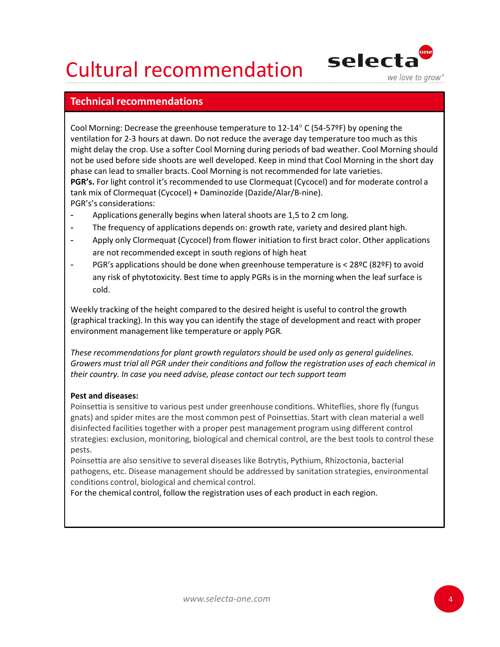

### Technical recommendations

Cool Morning: Decrease the greenhouse temperature to 12-14° C (54-57ºF) by opening the ventilation for 2-3 hours at dawn. Do not reduce the average day temperature too much as this might delay the crop. Use a softer Cool Morning during periods of bad weather. Cool Morning should not be used before side shoots are well developed. Keep in mind that Cool Morning in the short day phase can lead to smaller bracts. Cool Morning is not recommended for late varieties. PGR's. For light control it's recommended to use Clormequat (Cycocel) and for moderate control a **Cultural recommendations**<br> **Cool Morning:** Decrease the greenhouse temperature to 12-14° C (54-57ºF) by openinventilation for 2-3 hours at dawn. Do not reduce the average day temperature too multiplit delay the crop. Use PGR's's considerations: **Cultural recommendations**<br> **Technical recommendations**<br>
Cool Morning: Decrease the greenhouse temperature to 12-14° C (54-57°F) by opening the<br>
ventilation for 2-3 hours at dawn. Do not reduce the average day temperature

- Applications generally begins when lateral shoots are 1,5 to 2 cm long.
- 
- are not recommended except in south regions of high heat
- PGR's applications should be done when greenhouse temperature is < 28ºC (82ºF) to avoid any risk of phytotoxicity. Best time to apply PGRs is in the morning when the leaf surface is cold.

Weekly tracking of the height compared to the desired height is useful to control the growth (graphical tracking). In this way you can identify the stage of development and react with proper environment management like temperature or apply PGR.<br>These recommendations for plant growth regulators should be used only as general guidelines.

Growers must trial all PGR under their conditions and follow the registration uses of each chemical in their country. In case you need advise, please contact our tech support team

#### Pest and diseases:

Poinsettia is sensitive to various pest under greenhouse conditions. Whiteflies, shore fly (fungus gnats) and spider mites are the most common pest of Poinsettias. Start with clean material a well disinfected facilities together with a proper pest management program using different control strategies: exclusion, monitoring, biological and chemical control, are the best tools to control these pests.

Poinsettia are also sensitive to several diseases like Botrytis, Pythium, Rhizoctonia, bacterial pathogens, etc. Disease management should be addressed by sanitation strategies, environmental conditions control, biological and chemical control.

For the chemical control, follow the registration uses of each product in each region.